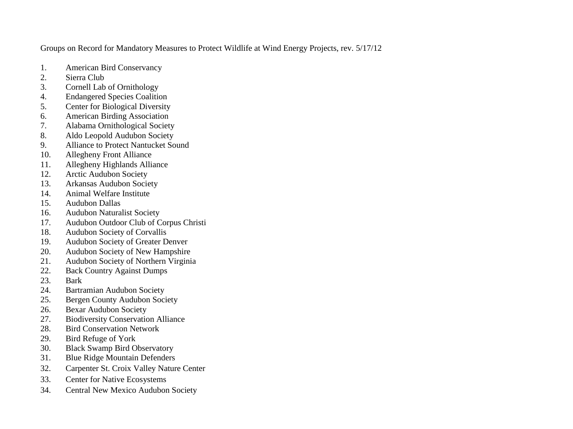Groups on Record for Mandatory Measures to Protect Wildlife at Wind Energy Projects, rev. 5/17/12

- 1. American Bird Conservancy
- 2. Sierra Club
- 3. Cornell Lab of Ornithology
- 4. Endangered Species Coalition
- 5. Center for Biological Diversity
- 6. American Birding Association
- 7. Alabama Ornithological Society
- 8. Aldo Leopold Audubon Society
- 9. Alliance to Protect Nantucket Sound
- 10. Allegheny Front Alliance
- 11. Allegheny Highlands Alliance
- 12. Arctic Audubon Society
- 13. Arkansas Audubon Society
- 14. Animal Welfare Institute
- 15. Audubon Dallas
- 16. Audubon Naturalist Society
- 17. Audubon Outdoor Club of Corpus Christi
- 18. Audubon Society of Corvallis
- 19. Audubon Society of Greater Denver
- 20. Audubon Society of New Hampshire
- 21. Audubon Society of Northern Virginia
- 22. Back Country Against Dumps
- 23. Bark
- 24. Bartramian Audubon Society
- 25. Bergen County Audubon Society
- 26. Bexar Audubon Society
- 27. Biodiversity Conservation Alliance
- 28. Bird Conservation Network
- 29. Bird Refuge of York
- 30. Black Swamp Bird Observatory
- 31. Blue Ridge Mountain Defenders
- 32. Carpenter St. Croix Valley Nature Center
- 33. Center for Native Ecosystems
- 34. Central New Mexico Audubon Society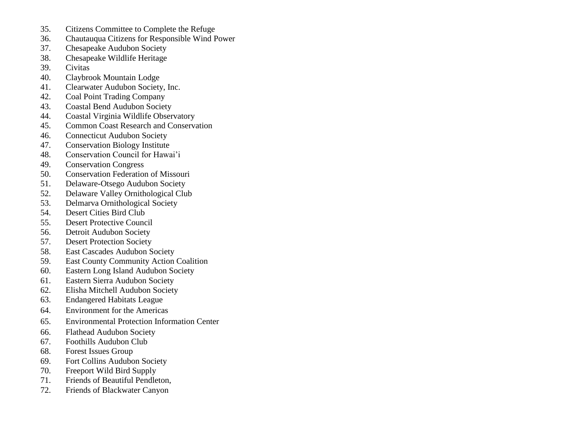- 35. Citizens Committee to Complete the Refuge
- 36. Chautauqua Citizens for Responsible Wind Power
- 37. Chesapeake Audubon Society
- 38. Chesapeake Wildlife Heritage
- 39. Civitas
- 40. Claybrook Mountain Lodge
- 41. Clearwater Audubon Society, Inc.
- 42. Coal Point Trading Company
- 43. Coastal Bend Audubon Society
- 44. Coastal Virginia Wildlife Observatory
- 45. Common Coast Research and Conservation
- 46. Connecticut Audubon Society
- 47. Conservation Biology Institute
- 48. Conservation Council for Hawai'i
- 49. Conservation Congress
- 50. Conservation Federation of Missouri
- 51. Delaware-Otsego Audubon Society
- 52. Delaware Valley Ornithological Club
- 53. Delmarva Ornithological Society
- 54. Desert Cities Bird Club
- 55. Desert Protective Council
- 56. Detroit Audubon Society
- 57. Desert Protection Society
- 58. East Cascades Audubon Society
- 59. East County Community Action Coalition
- 60. Eastern Long Island Audubon Society
- 61. Eastern Sierra Audubon Society
- 62. Elisha Mitchell Audubon Society
- 63. Endangered Habitats League
- 64. Environment for the Americas
- 65. Environmental Protection Information Center
- 66. Flathead Audubon Society
- 67. Foothills Audubon Club
- 68. Forest Issues Group
- 69. Fort Collins Audubon Society
- 70. Freeport Wild Bird Supply
- 71. Friends of Beautiful Pendleton,
- 72. Friends of Blackwater Canyon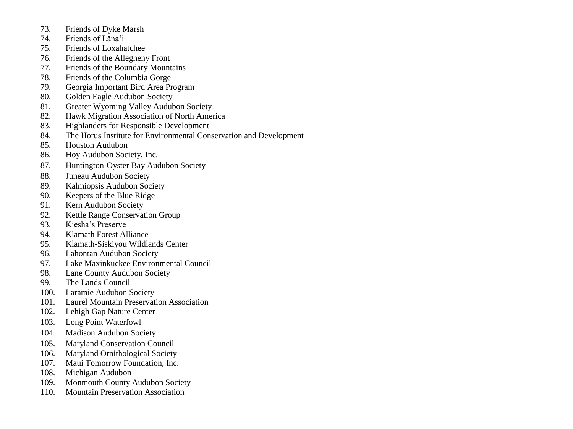- 73. Friends of Dyke Marsh
- 74. Friends of Lāna'i
- 75. Friends of Loxahatchee
- 76. Friends of the Allegheny Front
- 77. Friends of the Boundary Mountains
- 78. Friends of the Columbia Gorge
- 79. Georgia Important Bird Area Program
- 80. Golden Eagle Audubon Society
- 81. Greater Wyoming Valley Audubon Society
- 82. Hawk Migration Association of North America
- 83. Highlanders for Responsible Development
- 84. The Horus Institute for Environmental Conservation and Development
- 85. Houston Audubon
- 86. Hoy Audubon Society, Inc.
- 87. Huntington-Oyster Bay Audubon Society
- 88. Juneau Audubon Society
- 89. Kalmiopsis Audubon Society
- 90. Keepers of the Blue Ridge
- 91. Kern Audubon Society
- 92. Kettle Range Conservation Group
- 93. Kiesha's Preserve
- 94. Klamath Forest Alliance
- 95. Klamath-Siskiyou Wildlands Center
- 96. Lahontan Audubon Society
- 97. Lake Maxinkuckee Environmental Council
- 98. Lane County Audubon Society
- 99. The Lands Council
- 100. Laramie Audubon Society
- 101. Laurel Mountain Preservation Association
- 102. Lehigh Gap Nature Center
- 103. Long Point Waterfowl
- 104. Madison Audubon Society
- 105. Maryland Conservation Council
- 106. Maryland Ornithological Society
- 107. Maui Tomorrow Foundation, Inc.
- 108. Michigan Audubon
- 109. Monmouth County Audubon Society
- 110. Mountain Preservation Association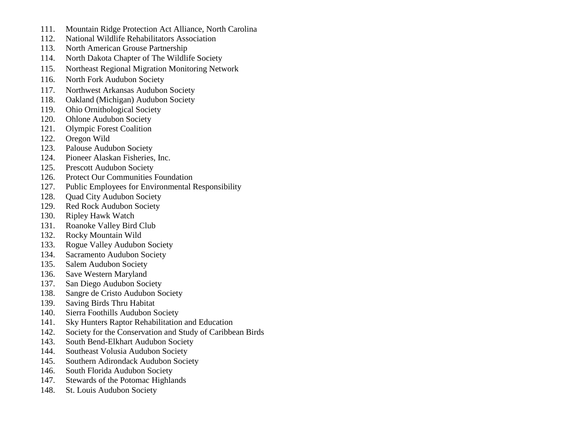- 111. Mountain Ridge Protection Act Alliance, North Carolina
- 112. National Wildlife Rehabilitators Association
- 113. North American Grouse Partnership
- 114. North Dakota Chapter of The Wildlife Society
- 115. Northeast Regional Migration Monitoring Network
- 116. North Fork Audubon Society
- 117. Northwest Arkansas Audubon Society
- 118. Oakland (Michigan) Audubon Society
- 119. Ohio Ornithological Society
- 120. Ohlone Audubon Society
- 121. Olympic Forest Coalition
- 122. Oregon Wild
- 123. Palouse Audubon Society
- 124. Pioneer Alaskan Fisheries, Inc.
- 125. Prescott Audubon Society
- 126. Protect Our Communities Foundation
- 127. Public Employees for Environmental Responsibility
- 128. Ouad City Audubon Society
- 129. Red Rock Audubon Society
- 130. Ripley Hawk Watch
- 131. Roanoke Valley Bird Club
- 132. Rocky Mountain Wild
- 133. Rogue Valley Audubon Society
- 134. Sacramento Audubon Society
- 135. Salem Audubon Society
- 136. Save Western Maryland
- 137. San Diego Audubon Society
- 138. Sangre de Cristo Audubon Society
- 139. Saving Birds Thru Habitat
- 140. Sierra Foothills Audubon Society
- 141. Sky Hunters Raptor Rehabilitation and Education
- 142. Society for the Conservation and Study of Caribbean Birds
- 143. South Bend-Elkhart Audubon Society
- 144. Southeast Volusia Audubon Society
- 145. Southern Adirondack Audubon Society
- 146. South Florida Audubon Society
- 147. Stewards of the Potomac Highlands
- 148. St. Louis Audubon Society